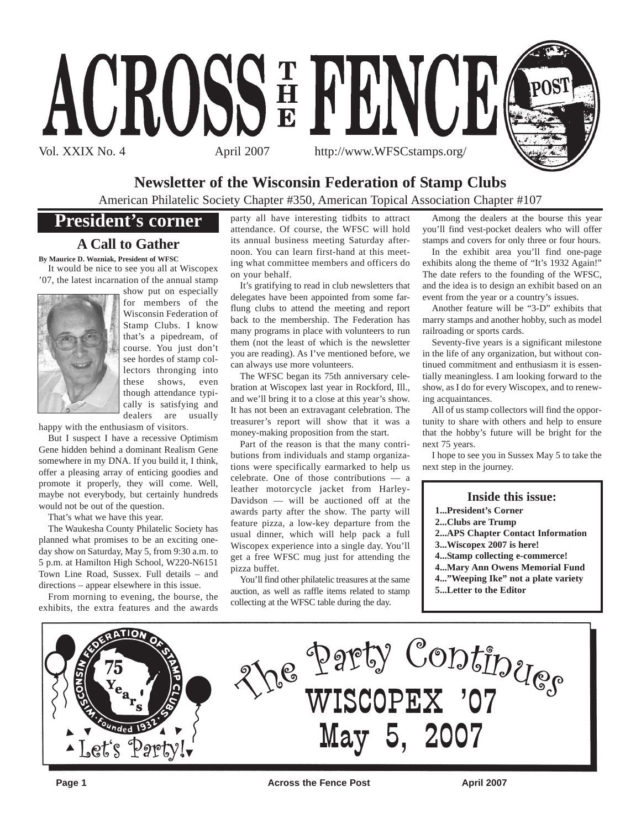

### **Newsletter of the Wisconsin Federation of Stamp Clubs**

American Philatelic Society Chapter #350, American Topical Association Chapter #107

### **President's corner**

### **A Call to Gather**

**By Maurice D. Wozniak, President of WFSC**

It would be nice to see you all at Wiscopex '07, the latest incarnation of the annual stamp



show put on especially for members of the Wisconsin Federation of Stamp Clubs. I know that's a pipedream, of course. You just don't see hordes of stamp collectors thronging into these shows, even though attendance typically is satisfying and dealers are usually

happy with the enthusiasm of visitors.

But I suspect I have a recessive Optimism Gene hidden behind a dominant Realism Gene somewhere in my DNA. If you build it, I think, offer a pleasing array of enticing goodies and promote it properly, they will come. Well, maybe not everybody, but certainly hundreds would not be out of the question.

That's what we have this year.

The Waukesha County Philatelic Society has planned what promises to be an exciting oneday show on Saturday, May 5, from 9:30 a.m. to 5 p.m. at Hamilton High School, W220-N6151 Town Line Road, Sussex. Full details – and directions – appear elsewhere in this issue.

From morning to evening, the bourse, the exhibits, the extra features and the awards party all have interesting tidbits to attract attendance. Of course, the WFSC will hold its annual business meeting Saturday afternoon. You can learn first-hand at this meeting what committee members and officers do on your behalf.

It's gratifying to read in club newsletters that delegates have been appointed from some farflung clubs to attend the meeting and report back to the membership. The Federation has many programs in place with volunteers to run them (not the least of which is the newsletter you are reading). As I've mentioned before, we can always use more volunteers.

The WFSC began its 75th anniversary celebration at Wiscopex last year in Rockford, Ill., and we'll bring it to a close at this year's show. It has not been an extravagant celebration. The treasurer's report will show that it was a money-making proposition from the start.

Part of the reason is that the many contributions from individuals and stamp organizations were specifically earmarked to help us celebrate. One of those contributions — a leather motorcycle jacket from Harley-Davidson — will be auctioned off at the awards party after the show. The party will feature pizza, a low-key departure from the usual dinner, which will help pack a full Wiscopex experience into a single day. You'll get a free WFSC mug just for attending the pizza buffet.

You'll find other philatelic treasures at the same auction, as well as raffle items related to stamp collecting at the WFSC table during the day.

Among the dealers at the bourse this year you'll find vest-pocket dealers who will offer stamps and covers for only three or four hours.

In the exhibit area you'll find one-page exhibits along the theme of "It's 1932 Again!" The date refers to the founding of the WFSC, and the idea is to design an exhibit based on an event from the year or a country's issues.

Another feature will be "3-D" exhibits that marry stamps and another hobby, such as model railroading or sports cards.

Seventy-five years is a significant milestone in the life of any organization, but without continued commitment and enthusiasm it is essentially meaningless. I am looking forward to the show, as I do for every Wiscopex, and to renewing acquaintances.

All of us stamp collectors will find the opportunity to share with others and help to ensure that the hobby's future will be bright for the next 75 years.

I hope to see you in Sussex May 5 to take the next step in the journey.

### **Inside this issue:**

**1...President's Corner**

- **2...Clubs are Trump**
- **2...APS Chapter Contact Information**
- **3...Wiscopex 2007 is here!**
- **4...Stamp collecting e-commerce!**
- **4...Mary Ann Owens Memorial Fund**
- **4..."Weeping Ike" not a plate variety 5...Letter to the Editor**
- ATION re Party Continues May 5, 2007 Let's Part

**Page 1** Across the Fence Post April 2007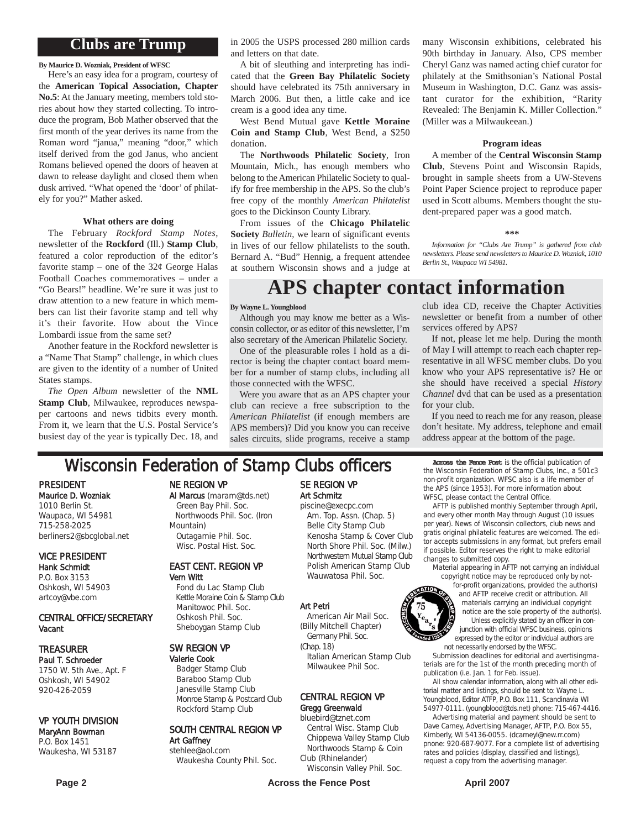### **Clubs are Trump**

**By Maurice D. Wozniak, President of WFSC**

Here's an easy idea for a program, courtesy of the **American Topical Association, Chapter No.5**: At the January meeting, members told stories about how they started collecting. To introduce the program, Bob Mather observed that the first month of the year derives its name from the Roman word "janua," meaning "door," which itself derived from the god Janus, who ancient Romans believed opened the doors of heaven at dawn to release daylight and closed them when dusk arrived. "What opened the 'door' of philately for you?" Mather asked.

#### **What others are doing**

The February *Rockford Stamp Notes*, newsletter of the **Rockford** (Ill.) **Stamp Club**, featured a color reproduction of the editor's favorite stamp – one of the  $32¢$  George Halas Football Coaches commemoratives – under a "Go Bears!" headline. We're sure it was just to draw attention to a new feature in which members can list their favorite stamp and tell why it's their favorite. How about the Vince Lombardi issue from the same set?

Another feature in the Rockford newsletter is a "Name That Stamp" challenge, in which clues are given to the identity of a number of United States stamps.

*The Open Album* newsletter of the **NML Stamp Club**, Milwaukee, reproduces newspaper cartoons and news tidbits every month. From it, we learn that the U.S. Postal Service's busiest day of the year is typically Dec. 18, and in 2005 the USPS processed 280 million cards and letters on that date.

A bit of sleuthing and interpreting has indicated that the **Green Bay Philatelic Society** should have celebrated its 75th anniversary in March 2006. But then, a little cake and ice cream is a good idea any time.

West Bend Mutual gave **Kettle Moraine Coin and Stamp Club**, West Bend, a \$250 donation.

The **Northwoods Philatelic Society**, Iron Mountain, Mich., has enough members who belong to the American Philatelic Society to qualify for free membership in the APS. So the club's free copy of the monthly *American Philatelist* goes to the Dickinson County Library.

From issues of the **Chicago Philatelic Society** *Bulletin*, we learn of significant events in lives of our fellow philatelists to the south. Bernard A. "Bud" Hennig, a frequent attendee at southern Wisconsin shows and a judge at

many Wisconsin exhibitions, celebrated his 90th birthday in January. Also, CPS member Cheryl Ganz was named acting chief curator for philately at the Smithsonian's National Postal Museum in Washington, D.C. Ganz was assistant curator for the exhibition, "Rarity Revealed: The Benjamin K. Miller Collection." (Miller was a Milwaukeean.)

### **Program ideas**

A member of the **Central Wisconsin Stamp Club**, Stevens Point and Wisconsin Rapids, brought in sample sheets from a UW-Stevens Point Paper Science project to reproduce paper used in Scott albums. Members thought the student-prepared paper was a good match.

### **\*\*\***

*Information for "Clubs Are Trump" is gathered from club newsletters. Please send newsletters to Maurice D. Wozniak, 1010 Berlin St., Waupaca WI 54981.*

### **APS chapter contact information**

#### **By Wayne L. Youngblood**

Although you may know me better as a Wisconsin collector, or as editor of this newsletter, I'm also secretary of the American Philatelic Society.

One of the pleasurable roles I hold as a director is being the chapter contact board member for a number of stamp clubs, including all those connected with the WFSC.

Were you aware that as an APS chapter your club can recieve a free subscription to the *American Philatelist* (if enough members are APS members)? Did you know you can receive sales circuits, slide programs, receive a stamp club idea CD, receive the Chapter Activities newsletter or benefit from a number of other services offered by APS?

If not, please let me help. During the month of May I will attempt to reach each chapter representative in all WFSC member clubs. Do you know who your APS representative is? He or she should have received a special *History Channel* dvd that can be used as a presentation for your club.

If you need to reach me for any reason, please don't hesitate. My address, telephone and email address appear at the bottom of the page.

### **Wisconsin Federation of Stamp Clubs officers** Across the Fence Post is the official publication of

PRESIDENT Maurice D. Wozniak 1010 Berlin St. Waupaca, WI 54981 715-258-2025

### berliners2@sbcglobal.net VICE PRESIDENT

Hank Schmidt P.O. Box 3153 Oshkosh, WI 54903 artcoy@vbe.com

### CENTRAL OFFICE/SECRETARY Vacant

### TREASURER

Paul T. Schroeder 1750 W. 5th Ave., Apt. F Oshkosh, WI 54902 920-426-2059

### VP YOUTH DIVISION

#### MaryAnn Bowman P.O. Box 1451 Waukesha, WI 53187

NE REGION VP

#### Al Marcus (maram@tds.net) Green Bay Phil. Soc. Northwoods Phil. Soc. (Iron Mountain) Outagamie Phil. Soc. Wisc. Postal Hist. Soc.

### EAST CENT. REGION VP Vern Witt

Fond du Lac Stamp Club Kettle Moraine Coin & Stamp Club Manitowoc Phil. Soc. Oshkosh Phil. Soc. Sheboygan Stamp Club

### SW REGION VP

Valerie Cook Badger Stamp Club Baraboo Stamp Club Janesville Stamp Club Monroe Stamp & Postcard Club Rockford Stamp Club

SOUTH CENTRAL REGION VP Art Gaffney stehlee@aol.com

### Waukesha County Phil. Soc.

#### SE REGION VP Art Schmitz piscine@execpc.com

Am. Top. Assn. (Chap. 5) Belle City Stamp Club Kenosha Stamp & Cover Club North Shore Phil. Soc. (Milw.) Northwestern Mutual Stamp Club Polish American Stamp Club Wauwatosa Phil. Soc.

#### Art Petri

American Air Mail Soc. (Billy Mitchell Chapter) Germany Phil. Soc.

(Chap. 18) Italian American Stamp Club Milwaukee Phil Soc.

#### CENTRAL REGION VP Gregg Greenwald

### bluebird@tznet.com

Central Wisc. Stamp Club Chippewa Valley Stamp Club Northwoods Stamp & Coin Club (Rhinelander)

Wisconsin Valley Phil. Soc.

**Page 2** Across the Fence Post April 2007

the Wisconsin Federation of Stamp Clubs, Inc., a 501c3 non-profit organization. WFSC also is a life member of the APS (since 1953). For more information about WFSC, please contact the Central Office.

AFTP is published monthly September through April, and every other month May through August (10 issues per year). News of Wisconsin collectors, club news and gratis original philatelic features are welcomed. The editor accepts submissions in any format, but prefers email if possible. Editor reserves the right to make editorial changes to submitted copy.

Material appearing in AFTP not carrying an individual copyright notice may be reproduced only by not-

for-profit organizations, provided the author(s) and AFTP receive credit or attribution. All materials carrying an individual copyright notice are the sole property of the author(s). Unless explicitly stated by an officer in conjunction with official WFSC business, opinions expressed by the editor or individual authors are not necessarily endorsed by the WFSC.

Submission deadlines for editorial and avertisingmaterials are for the 1st of the month preceding month of publication (i.e. Jan. 1 for Feb. issue).

All show calendar information, along with all other editorial matter and listings, should be sent to: Wayne L. Youngblood, Editor ATFP, P.O. Box 111, Scandinavia WI 54977-0111. (youngblood@tds.net) phone: 715-467-4416.

Advertising material and payment should be sent to Dave Carney, Advertising Manager, AFTP, P.O. Box 55, Kimberly, WI 54136-0055. (dcarneyl@new.rr.com) pnone: 920-687-9077. For a complete list of advertising rates and policies (display, classified and listings), request a copy from the advertising manager.

 $1032$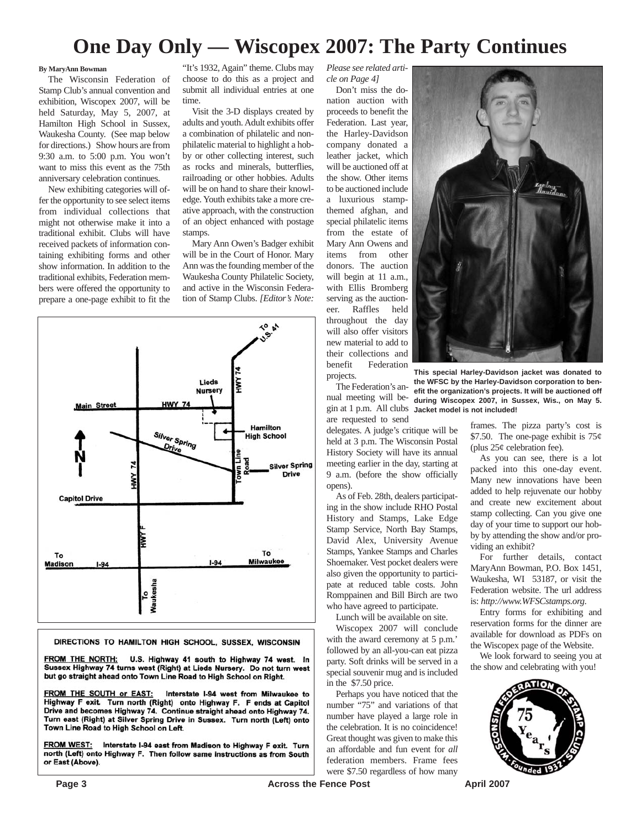### **One Day Only — Wiscopex 2007: The Party Continues**

### **By MaryAnn Bowman**

The Wisconsin Federation of Stamp Club's annual convention and exhibition, Wiscopex 2007, will be held Saturday, May 5, 2007, at Hamilton High School in Sussex, Waukesha County. (See map below for directions.) Show hours are from 9:30 a.m. to 5:00 p.m. You won't want to miss this event as the 75th anniversary celebration continues.

New exhibiting categories will offer the opportunity to see select items from individual collections that might not otherwise make it into a traditional exhibit. Clubs will have received packets of information containing exhibiting forms and other show information. In addition to the traditional exhibits, Federation members were offered the opportunity to prepare a one-page exhibit to fit the "It's 1932, Again" theme. Clubs may choose to do this as a project and submit all individual entries at one time.

Visit the 3-D displays created by adults and youth. Adult exhibits offer a combination of philatelic and nonphilatelic material to highlight a hobby or other collecting interest, such as rocks and minerals, butterflies, railroading or other hobbies. Adults will be on hand to share their knowledge. Youth exhibits take a more creative approach, with the construction of an object enhanced with postage stamps.

Mary Ann Owen's Badger exhibit will be in the Court of Honor. Mary Ann was the founding member of the Waukesha County Philatelic Society, and active in the Wisconsin Federation of Stamp Clubs. *[Editor's Note:*



#### DIRECTIONS TO HAMILTON HIGH SCHOOL, SUSSEX, WISCONSIN

FROM THE NORTH: U.S. Highway 41 south to Highway 74 west. In Sussex Highway 74 turns west (Right) at Lieds Nursery. Do not turn west but go straight ahead onto Town Line Road to High School on Right.

FROM THE SOUTH or EAST: Interstate I-94 west from Milwaukee to Highway F exit. Turn north (Right) onto Highway F. F ends at Capitol Drive and becomes Highway 74. Continue straight ahead onto Highway 74. Turn east (Right) at Silver Spring Drive in Sussex. Turn north (Left) onto Town Line Road to High School on Left.

FROM WEST: Interstate I-94 east from Madison to Highway F exit. Turn north (Left) onto Highway F. Then follow same instructions as from South or East (Above).

*Please see related article on Page 4]*

Don't miss the donation auction with proceeds to benefit the Federation. Last year, the Harley-Davidson company donated a leather jacket, which will be auctioned off at the show. Other items to be auctioned include a luxurious stampthemed afghan, and special philatelic items from the estate of Mary Ann Owens and items from other donors. The auction will begin at 11 a.m., with Ellis Bromberg serving as the auctioneer. Raffles held throughout the day will also offer visitors new material to add to their collections and benefit Federation projects.

The Federation's anare requested to send

delegates. A judge's critique will be held at 3 p.m. The Wisconsin Postal History Society will have its annual meeting earlier in the day, starting at 9 a.m. (before the show officially opens).

As of Feb. 28th, dealers participating in the show include RHO Postal History and Stamps, Lake Edge Stamp Service, North Bay Stamps, David Alex, University Avenue Stamps, Yankee Stamps and Charles Shoemaker. Vest pocket dealers were also given the opportunity to participate at reduced table costs. John Romppainen and Bill Birch are two who have agreed to participate.

Lunch will be available on site.

Wiscopex 2007 will conclude with the award ceremony at 5 p.m.' followed by an all-you-can eat pizza party. Soft drinks will be served in a special souvenir mug and is included in the \$7.50 price.

Perhaps you have noticed that the number "75" and variations of that number have played a large role in the celebration. It is no coincidence! Great thought was given to make this an affordable and fun event for *all* federation members. Frame fees were \$7.50 regardless of how many



nual meeting will be-**during Wiscopex 2007, in Sussex, Wis., on May 5.** gin at 1 p.m. All clubs **Jacket model is not included! This special Harley-Davidson jacket was donated to the WFSC by the Harley-Davidson corporation to benefit the organization's projects. It will be auctioned off**

> frames. The pizza party's cost is \$7.50. The one-page exhibit is  $75¢$ (plus  $25¢$  celebration fee).

> As you can see, there is a lot packed into this one-day event. Many new innovations have been added to help rejuvenate our hobby and create new excitement about stamp collecting. Can you give one day of your time to support our hobby by attending the show and/or providing an exhibit?

> For further details, contact MaryAnn Bowman, P.O. Box 1451, Waukesha, WI 53187, or visit the Federation website. The url address is: *http://www.WFSCstamps.org*.

> Entry forms for exhibiting and reservation forms for the dinner are available for download as PDFs on the Wiscopex page of the Website.

> We look forward to seeing you at the show and celebrating with you!

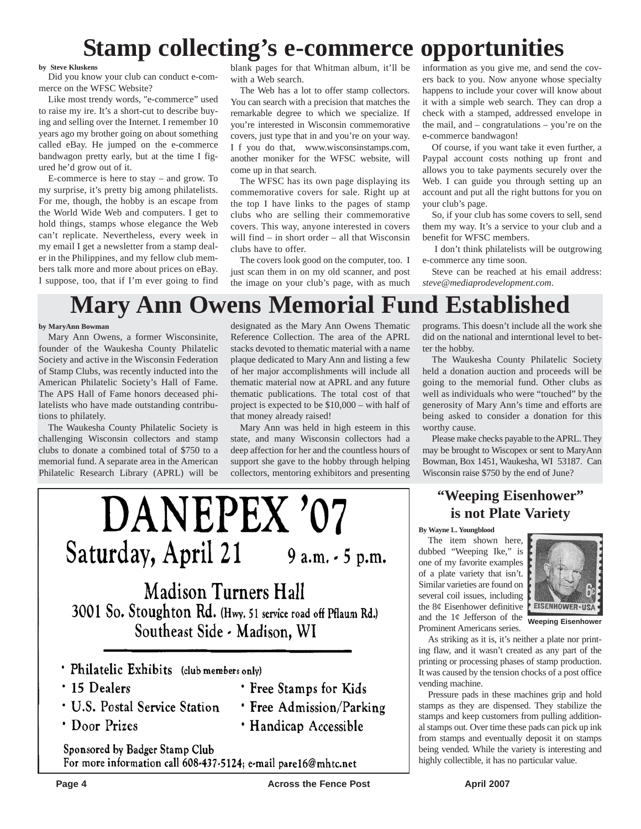## **Stamp collecting's e-commerce opportunities**

### **by Steve Kluskens**

Did you know your club can conduct e-commerce on the WFSC Website?

Like most trendy words, "e-commerce" used to raise my ire. It's a short-cut to describe buying and selling over the Internet. I remember 10 years ago my brother going on about something called eBay. He jumped on the e-commerce bandwagon pretty early, but at the time I figured he'd grow out of it.

E-commerce is here to stay – and grow. To my surprise, it's pretty big among philatelists. For me, though, the hobby is an escape from the World Wide Web and computers. I get to hold things, stamps whose elegance the Web can't replicate. Nevertheless, every week in my email I get a newsletter from a stamp dealer in the Philippines, and my fellow club members talk more and more about prices on eBay. I suppose, too, that if I'm ever going to find blank pages for that Whitman album, it'll be with a Web search.

The Web has a lot to offer stamp collectors. You can search with a precision that matches the remarkable degree to which we specialize. If you're interested in Wisconsin commemorative covers, just type that in and you're on your way. I f you do that, www.wisconsinstamps.com, another moniker for the WFSC website, will come up in that search.

The WFSC has its own page displaying its commemorative covers for sale. Right up at the top I have links to the pages of stamp clubs who are selling their commemorative covers. This way, anyone interested in covers will find – in short order – all that Wisconsin clubs have to offer.

The covers look good on the computer, too. I just scan them in on my old scanner, and post the image on your club's page, with as much information as you give me, and send the covers back to you. Now anyone whose specialty happens to include your cover will know about it with a simple web search. They can drop a check with a stamped, addressed envelope in the mail, and – congratulations – you're on the e-commerce bandwagon!

Of course, if you want take it even further, a Paypal account costs nothing up front and allows you to take payments securely over the Web. I can guide you through setting up an account and put all the right buttons for you on your club's page.

So, if your club has some covers to sell, send them my way. It's a service to your club and a benefit for WFSC members.

I don't think philatelists will be outgrowing e-commerce any time soon.

Steve can be reached at his email address: *steve@mediaprodevelopment.com*.

# **Mary Ann Owens Memorial Fund Established**

### **by MaryAnn Bowman**

Mary Ann Owens, a former Wisconsinite, founder of the Waukesha County Philatelic Society and active in the Wisconsin Federation of Stamp Clubs, was recently inducted into the American Philatelic Society's Hall of Fame. The APS Hall of Fame honors deceased philatelists who have made outstanding contributions to philately.

The Waukesha County Philatelic Society is challenging Wisconsin collectors and stamp clubs to donate a combined total of \$750 to a memorial fund. A separate area in the American Philatelic Research Library (APRL) will be

designated as the Mary Ann Owens Thematic Reference Collection. The area of the APRL stacks devoted to thematic material with a name plaque dedicated to Mary Ann and listing a few of her major accomplishments will include all thematic material now at APRL and any future thematic publications. The total cost of that project is expected to be \$10,000 – with half of that money already raised!

Mary Ann was held in high esteem in this state, and many Wisconsin collectors had a deep affection for her and the countless hours of support she gave to the hobby through helping collectors, mentoring exhibitors and presenting

programs. This doesn't include all the work she did on the national and interntional level to better the hobby.

The Waukesha County Philatelic Society held a donation auction and proceeds will be going to the memorial fund. Other clubs as well as individuals who were "touched" by the generosity of Mary Ann's time and efforts are being asked to consider a donation for this worthy cause.

Please make checks payable to the APRL. They may be brought to Wiscopex or sent to MaryAnn Bowman, Box 1451, Waukesha, WI 53187. Can Wisconsin raise \$750 by the end of June?

### **"Weeping Eisenhower" is not Plate Variety**

#### **By Wayne L. Youngblood**

The item shown here, dubbed "Weeping Ike," is one of my favorite examples of a plate variety that isn't. Similar varieties are found on several coil issues, including the 8¢ Eisenhower definitive and the  $1¢$  Jefferson of the Prominent Americans series.



**Weeping Eisenhower**

As striking as it is, it's neither a plate nor printing flaw, and it wasn't created as any part of the printing or processing phases of stamp production. It was caused by the tension chocks of a post office vending machine.

Pressure pads in these machines grip and hold stamps as they are dispensed. They stabilize the stamps and keep customers from pulling additional stamps out. Over time these pads can pick up ink from stamps and eventually deposit it on stamps being vended. While the variety is interesting and highly collectible, it has no particular value.

# DANEPEX '07 Saturday, April 21  $9$  a.m.  $\cdot$  5 p.m.

**Madison Turners Hall** 3001 So. Stoughton Rd. (Hwy. 51 service road off Pflaum Rd.) Southeast Side - Madison, WI

- · Philatelic Exhibits (club members only)
- · 15 Dealers
- · U.S. Postal Service Station
- · Door Prizes
- **· Free Stamps for Kids** · Free Admission/Parking
- · Handicap Accessible

Sponsored by Badger Stamp Club For more information call 608-437-5124; e-mail pare16@mhtc.net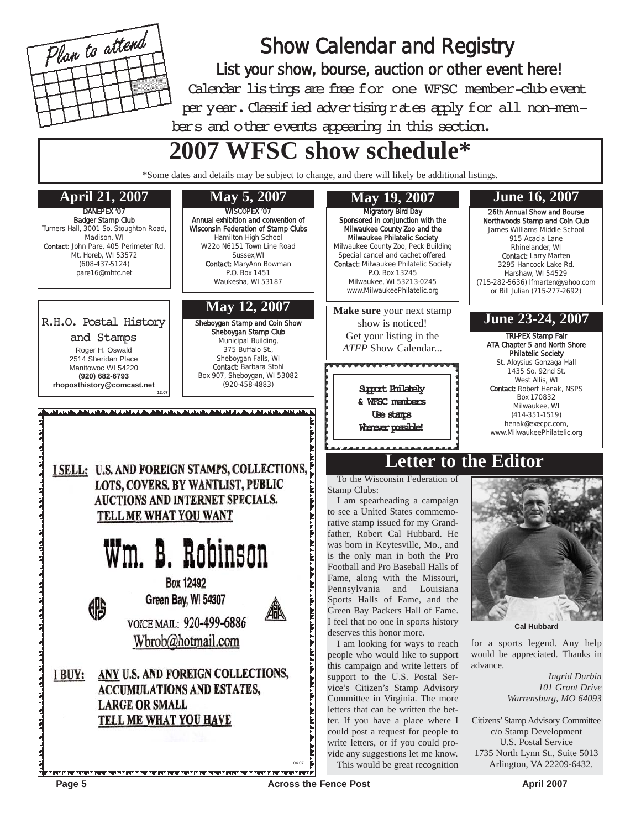

Show Calendar and Registry List your show, bourse, auction or other event here! Calendar listings are free for one WFSC member-club event per year. Classified advertising rates apply for all non-members and other events appearing in this section.

# **2007 WFSC show schedule\***

\*Some dates and details may be subject to change, and there will likely be additional listings.



R.H.O. Postal History

and Stamps Roger H. Oswald 2514 Sheridan Place Manitowoc WI 54220 **(920) 682-6793 rhoposthistory@comcast.net 12.07**

鹏

WISCOPEX '07 Annual exhibition and convention of Wisconsin Federation of Stamp Clubs Hamilton High School W22o N6151 Town Line Road Sussex,WI Contact: MaryAnn Bowman P.O. Box 1451 Waukesha, WI 53187

### **May 12, 2007**

Sheboygan Stamp and Coin Show Sheboygan Stamp Club Municipal Building, 375 Buffalo St., Sheboygan Falls, WI Contact: Barbara Stohl Box 907, Sheboygan, WI 53082 (920-458-4883)



# Wm. B. Robinson

**Box 12492** Green Bay, WI 54307



VOICE MAIL: 920-499-6886 Wbrob@hotmail.com

I BUY: ANY U.S. AND FOREIGN COLLECTIONS, **ACCUMULATIONS AND ESTATES. LARGE OR SMALL** TELL ME WHAT YOU HAVE



& WFSC members Use stamps Whener possible!

26th Annual Show and Bourse Northwoods Stamp and Coin Club James Williams Middle School Contact: Larry Marten 3295 Hancock Lake Rd. Harshaw, WI 54529 (715-282-5636) lfmarten@yahoo.com or Bill Julian (715-277-2692)

### **June 23-24, 2007**

ATA Chapter 5 and North Shore St. Aloysius Gonzaga Hall 1435 So. 92nd St. Contact: Robert Henak, NSPS Box 170832 Milwaukee, WI (414-351-1519) henak@execpc.com, www.MilwaukeePhilatelic.org

### **Letter to the Editor**

To the Wisconsin Federation of Stamp Clubs:

I am spearheading a campaign to see a United States commemorative stamp issued for my Grandfather, Robert Cal Hubbard. He was born in Keytesville, Mo., and is the only man in both the Pro Football and Pro Baseball Halls of Fame, along with the Missouri, Pennsylvania and Louisiana Sports Halls of Fame, and the Green Bay Packers Hall of Fame. I feel that no one in sports history deserves this honor more.

I am looking for ways to reach people who would like to support this campaign and write letters of support to the U.S. Postal Service's Citizen's Stamp Advisory Committee in Virginia. The more letters that can be written the better. If you have a place where I could post a request for people to write letters, or if you could provide any suggestions let me know. This would be great recognition



**Cal Hubbard**

for a sports legend. Any help would be appreciated. Thanks in advance.

> *Ingrid Durbin 101 Grant Drive Warrensburg, MO 64093*

Citizens'Stamp Advisory Committee c/o Stamp Development U.S. Postal Service 1735 North Lynn St., Suite 5013 Arlington, VA 22209-6432.

**Page 5** Across the Fence Post April 2007

04.07

<u>alalalalalalala</u>